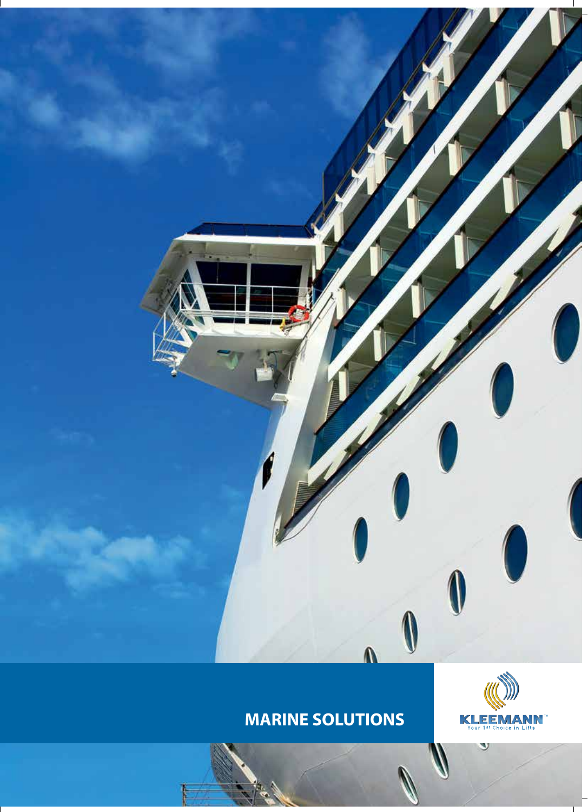

# **MARINE SOLUTIONS**



Y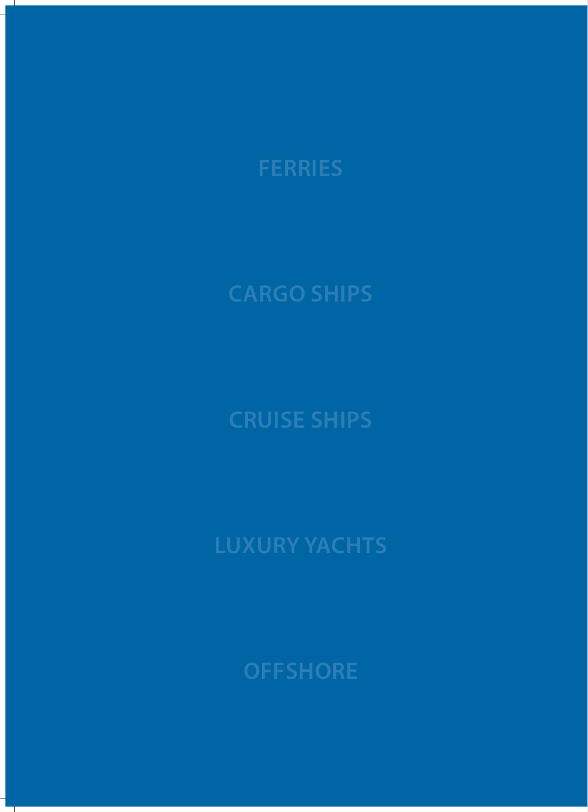

# **Cargo Ships**

**Cruise Ships**

**Luxury Yachts**

**OFFSHORE**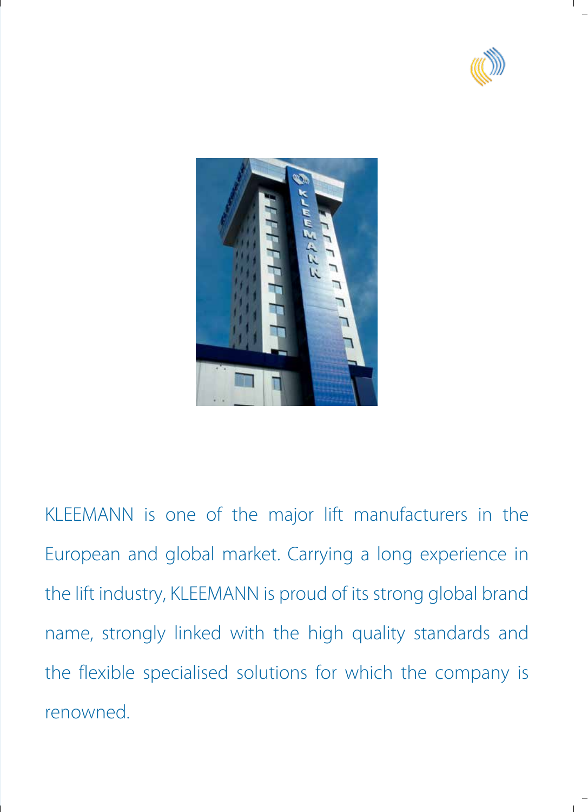



KLEEMANN is one of the major lift manufacturers in the European and global market. Carrying a long experience in the lift industry, KLEEMANN is proud of its strong global brand name, strongly linked with the high quality standards and the flexible specialised solutions for which the company is renowned.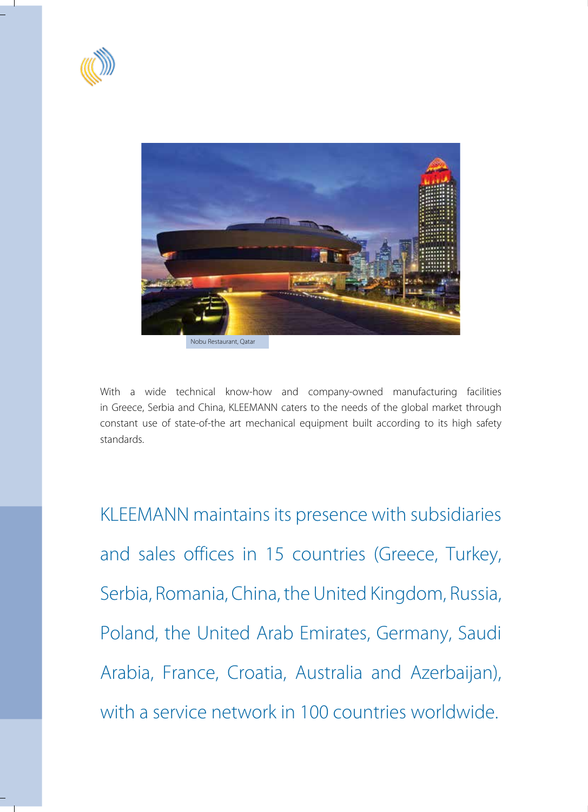



With a wide technical know-how and company-owned manufacturing facilities in Greece, Serbia and China, KLEEMANN caters to the needs of the global market through constant use of state-of-the art mechanical equipment built according to its high safety standards.

KLEEMANN maintains its presence with subsidiaries and sales offices in 15 countries (Greece, Turkey, Serbia, Romania, China, the United Kingdom, Russia, Poland, the United Arab Emirates, Germany, Saudi Arabia, France, Croatia, Australia and Azerbaijan), with a service network in 100 countries worldwide.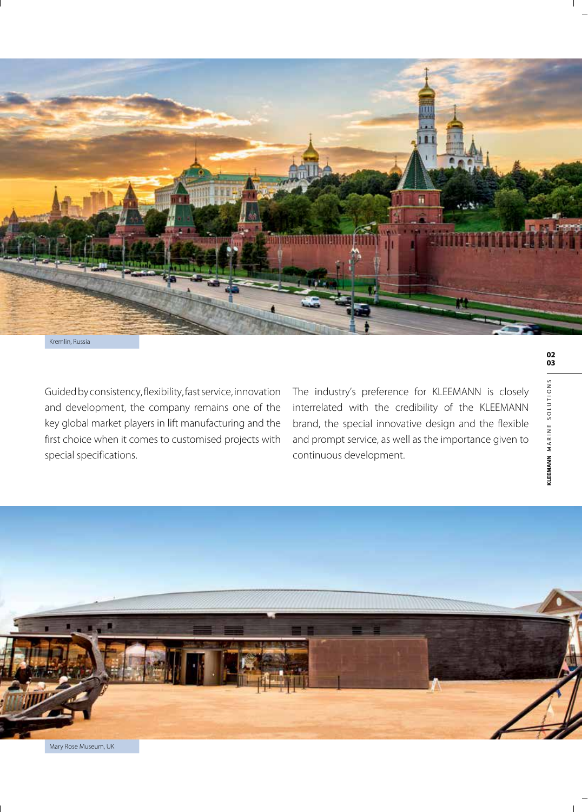

Kremlin, Russia

Guided by consistency, flexibility, fast service, innovation and development, the company remains one of the key global market players in lift manufacturing and the first choice when it comes to customised projects with special specifications.

The industry's preference for KLEEMANN is closely interrelated with the credibility of the KLEEMANN brand, the special innovative design and the flexible and prompt service, as well as the importance given to continuous development.



Mary Rose Museum, UK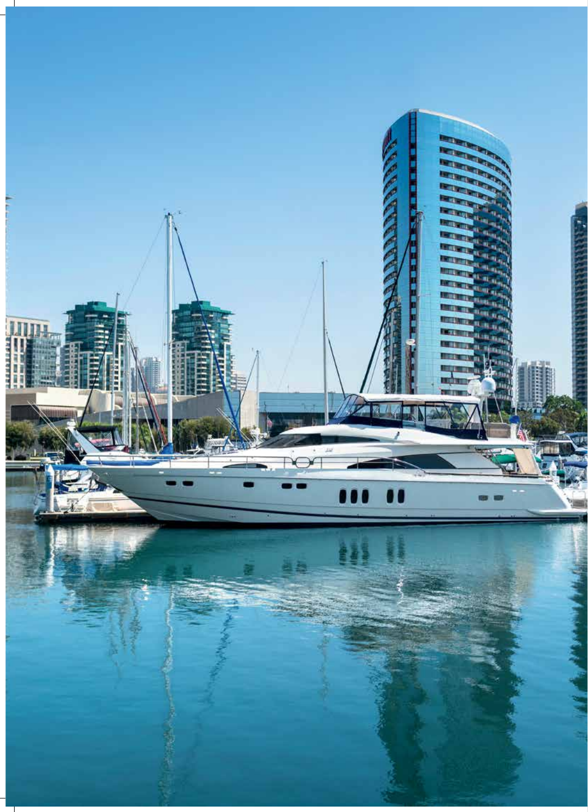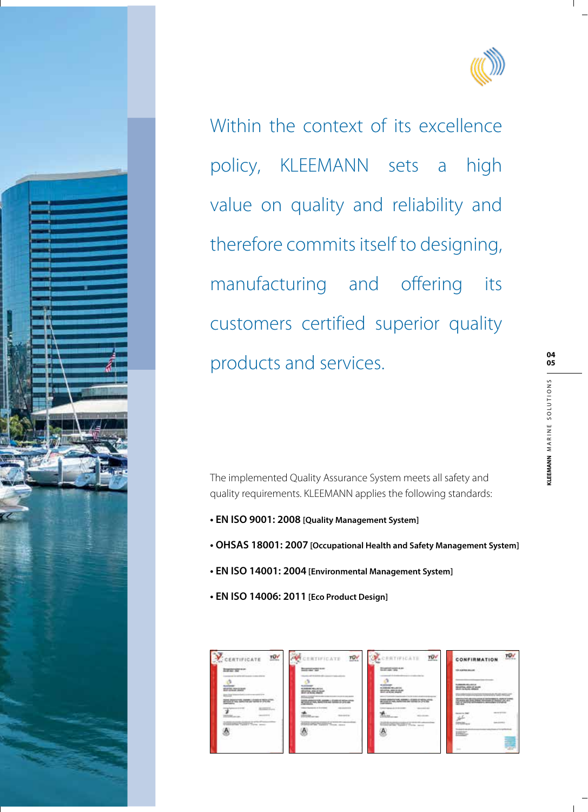



Within the context of its excellence policy, KLEEMANN sets a high value on quality and reliability and therefore commits itself to designing, manufacturing and offering its customers certified superior quality products and services.

The implemented Quality Assurance System meets all safety and quality requirements. KLEEMANN applies the following standards:

- **EN ISO 9001: 2008 [Quality Management System]**
- **OHSAS 18001: 2007 [Occupational Health and Safety Management System]**
- **EN ISO 14001: 2004 [Environmental Management System]**
- **EN ISO 14006: 2011 [Eco Product Design]**

| CERTIFICATE<br>TÜV.<br>dealers.<br>between the con-                                                                                                                                                                                       | CENTIFICATE<br>TUY<br><b>Because Institute International</b><br><b>County Colors State</b><br>Standard Stable division considera-                                                                                                                                                                                          | CERTIFICATE<br><b>TÜV</b><br>during a<br><b>Bringwickell scripts as par-</b><br><b>SAND HAR THEY</b><br><b>Controller States</b><br>and we have a simple product of the state of the state of the state of the state of the state of the                                                                                                                                                                             | <b>TÜV</b><br>County of the project and<br>CONFIRMATION<br>Employee<br>.<br>THE AGENCY BOARD                                                                                                                                                                                                                                                                                                                                                                                                                                                                                                             |
|-------------------------------------------------------------------------------------------------------------------------------------------------------------------------------------------------------------------------------------------|----------------------------------------------------------------------------------------------------------------------------------------------------------------------------------------------------------------------------------------------------------------------------------------------------------------------------|----------------------------------------------------------------------------------------------------------------------------------------------------------------------------------------------------------------------------------------------------------------------------------------------------------------------------------------------------------------------------------------------------------------------|----------------------------------------------------------------------------------------------------------------------------------------------------------------------------------------------------------------------------------------------------------------------------------------------------------------------------------------------------------------------------------------------------------------------------------------------------------------------------------------------------------------------------------------------------------------------------------------------------------|
| I content to the state state to a pay stress<br>---<br><b>March 1984</b> , without for bloods<br><b>MUST ARTWORK SPEAKER</b><br>gives other behaviors banks contributes are an extensive<br>----<br>SHAPPING SHOPLIGHTS CONTROLLERS<br>-- | <b>BUSINESS COMPANY</b><br><b>R. PARKERS (MILLAN S.A.</b><br>Monarchae, Aleks of Canada<br><b>BUT A RIAL PARTS</b><br>produce interesting the course of the contract contract contract contract contract contract contract contracts<br><b>The Motorcy Hart</b><br>WEB COVER WARREN SHIP \$ 500 p.m.<br><b>COMPOSITION</b> | <b>Business Committee</b><br><b>BUILDING PRIVATE AT \$10</b><br>Ministras, Antonio da Ale<br>dent at hims imaging<br><b>MARKET PRODUCTS AND DESCRIPTIONS OF A REAL PROPERTY AND RELEASED FOR AN ASSAULT AND RELEASED FOR AN ASSAULT AND RELEASED FOR AN ASSAULT AND RELEASED FOR A RELEASED FOR AN ASSAULT AND RELEASED FOR A RELEASED FOR A RELEASED</b><br>SERVICE AND COMPANY CREW CARD CARD<br><b>COMMERCIAL</b> | ________<br>14.000.000.000.000.00<br><b>MOUNTED AREA OF BOARS</b><br><b>MARIN MARINE MARINE</b><br>advertised and constructed to be received as the con-<br>If any other conditions in the departure of the second field in the basic of the condition of the condition of<br>ARRISTMATED AND STRUCKERS OF GATEWARETS, JOINTA ANNA<br>THE PARTY OF THE COMPANY OF THE COMPANY OF THE COMPANY OF THE COMPANY OF THE COMPANY OF THE COMPANY OF THE COMPANY OF THE COMPANY OF THE COMPANY OF THE COMPANY OF THE COMPANY OF THE COMPANY OF THE COMPANY OF THE COMPANY OF<br><b>REAL PROPERTY AND INCOME.</b> |
| large bulletime and child<br>de concerto<br><b>Secretary Course</b><br>----<br>the company and the<br><b>CELORIA TOTAL PRODUCT</b><br><b>NORTHWAY THE R</b>                                                                               | toda artificando del ACA estateni<br>-<br><b>Christian Commercial</b><br><b>Georgia Alliano</b><br>and the property and computer and the<br><b>STATISTICS MANAGER Three cases</b>                                                                                                                                          | <b>CARACTER AND ARTS AND RESERVE</b><br><b>Silvers and</b><br><b>STORY AND</b><br>Detailed about the company of the state of a subsequently<br>all substitutions and control of the control of<br>Constitution and the Constitution of Constitution Assembly<br>h falsandin                                                                                                                                          | <b>SECURITY ROOM</b><br><b>General Avenue</b><br><b>Search Street E</b><br><b>CONTRACTOR</b><br>the first party of the<br>to also also also ante de acompanheira provincia de para a francés de la<br><b>STATISTICS</b>                                                                                                                                                                                                                                                                                                                                                                                  |
|                                                                                                                                                                                                                                           |                                                                                                                                                                                                                                                                                                                            |                                                                                                                                                                                                                                                                                                                                                                                                                      | <b>Service</b>                                                                                                                                                                                                                                                                                                                                                                                                                                                                                                                                                                                           |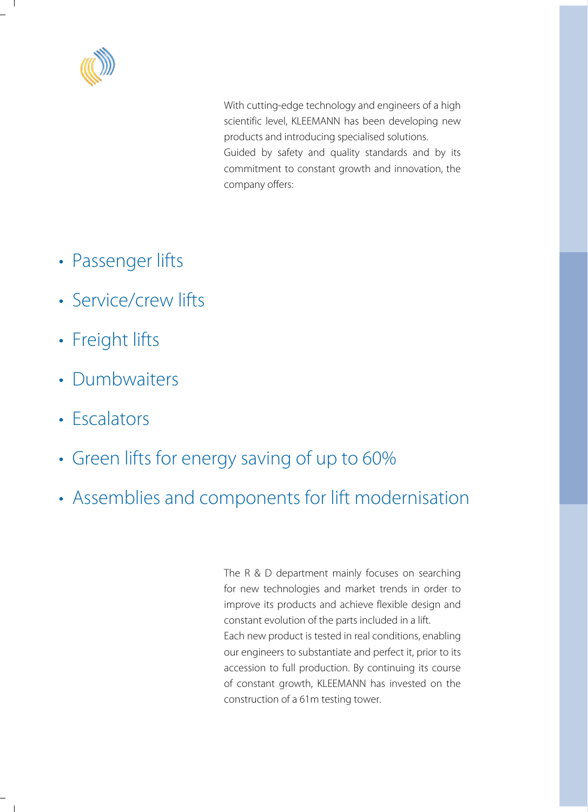

With cutting-edge technology and engineers of a high scientific level, KLEEMANN has been developing new products and introducing specialised solutions. Guided by safety and quality standards and by its commitment to constant growth and innovation, the company offers:

- Passenger lifts
- Service/crew lifts
- Freight lifts
- Dumbwaiters
- Escalators
- Green lifts for energy saving of up to 60%
- Assemblies and components for lift modernisation

The R & D department mainly focuses on searching for new technologies and market trends in order to improve its products and achieve flexible design and constant evolution of the parts included in a lift. Each new product is tested in real conditions, enabling our engineers to substantiate and perfect it, prior to its accession to full production. By continuing its course of constant growth, KLEEMANN has invested on the construction of a 61m testing tower.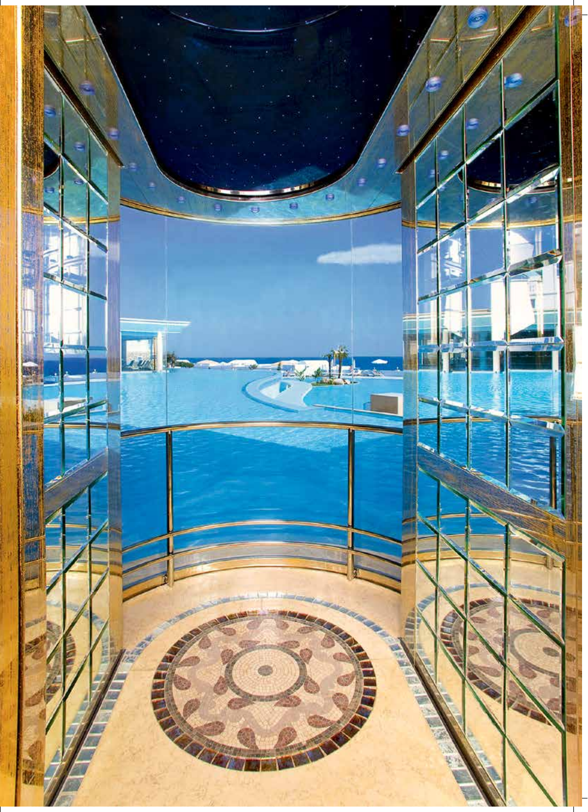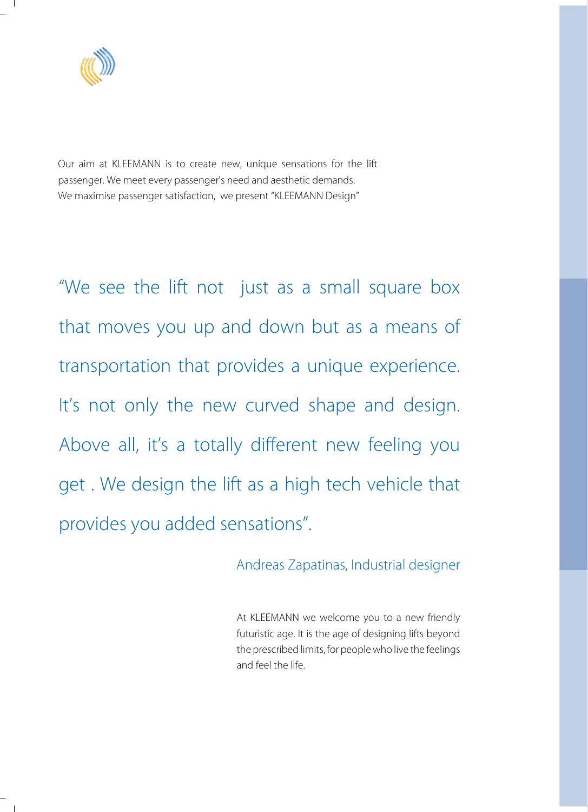

Our aim at KLEEMANN is to create new, unique sensations for the lift passenger. We meet every passenger's need and aesthetic demands. We maximise passenger satisfaction, we present "KLEEMANN Design"

"We see the lift not just as a small square box that moves you up and down but as a means of transportation that provides a unique experience. It's not only the new curved shape and design. Above all, it's a totally different new feeling you get . We design the lift as a high tech vehicle that provides you added sensations".

Andreas Zapatinas, Industrial designer

At KLEEMANN we welcome you to a new friendly futuristic age. It is the age of designing lifts beyond the prescribed limits, for people who live the feelings and feel the life.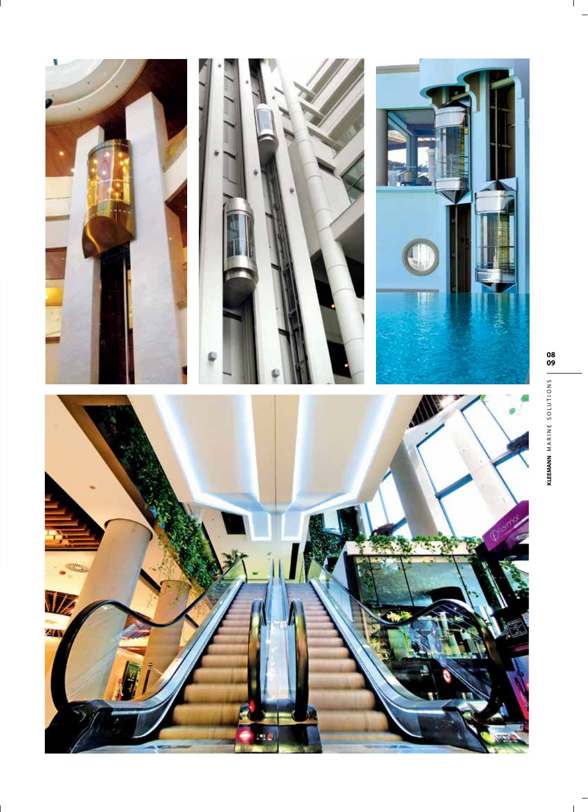

**08 09**KLEEMANN MARINE SOLUTIONS **KLEEMANN** MARINE SOLUTIONS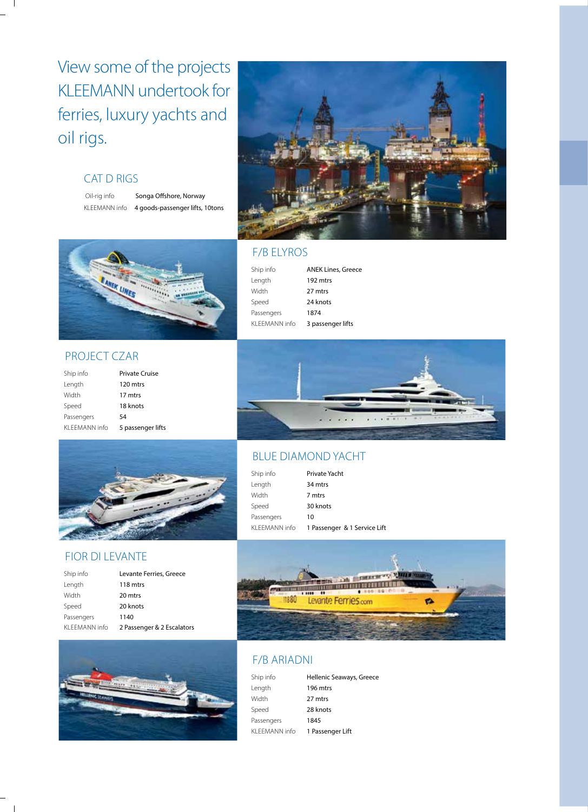## View some of the projects KLEEMANN undertook for ferries, luxury yachts and oil rigs.

#### CAT D RIGS

 Oil-rig info Songa Offshore, Norway KLEEMANN info 4 goods-passenger lifts, 10tons

![](_page_11_Picture_3.jpeg)

#### PROJECT CZAR

| Ship info      | Private Cruise    |
|----------------|-------------------|
| Length         | 120 mtrs          |
| Width          | 17 mtrs           |
| Speed          | 18 knots          |
| Passengers     | 54                |
| KI FFMANN info | 5 passenger lifts |

![](_page_11_Picture_6.jpeg)

#### F/B ELYROS

Ship info ANEK Lines, Greece Length 192 mtrs Width 27 mtrs Speed 24 knots<br>Passengers 1874 Passengers<br>KLEEMANN info

3 passenger lifts

![](_page_11_Picture_10.jpeg)

#### blue diamond yacht

| Ship info      | Private Yacht                |
|----------------|------------------------------|
| Length         | 34 mtrs                      |
| Width          | 7 mtrs                       |
| Speed          | 30 knots                     |
| Passengers     | 10                           |
| KI FEMANN info | 1 Passenger & 1 Service Lift |

#### FIOR DI LEVANTE

| Ship info     | Levante Ferries, Greece    |
|---------------|----------------------------|
| Length        | 118 mtrs                   |
| Width         | 20 mtrs                    |
| Speed         | 20 knots                   |
| Passengers    | 1140                       |
| KLEEMANN info | 2 Passenger & 2 Escalators |

![](_page_11_Picture_16.jpeg)

![](_page_11_Picture_17.jpeg)

#### F/B ARIADNI

Ship info Hellenic Seaways, Greece Length 196 mtrs Width 27 mtrs Speed 28 knots Passengers 1845 KLEEMANN info 1 Passenger Lift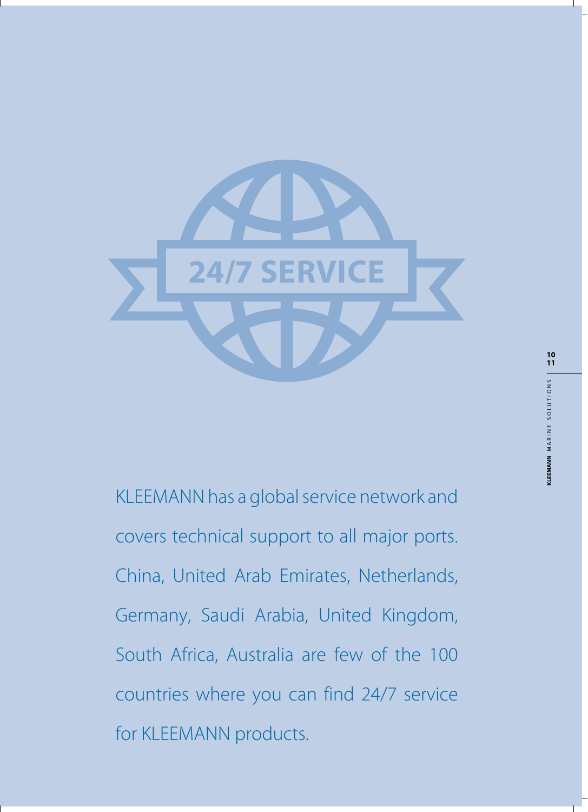![](_page_12_Picture_0.jpeg)

KLEEMANN has a global service network and covers technical support to all major ports. China, United Arab Emirates, Netherlands, Germany, Saudi Arabia, United Kingdom, South Africa, Australia are few of the 100 countries where you can find 24/7 service for KLEEMANN products.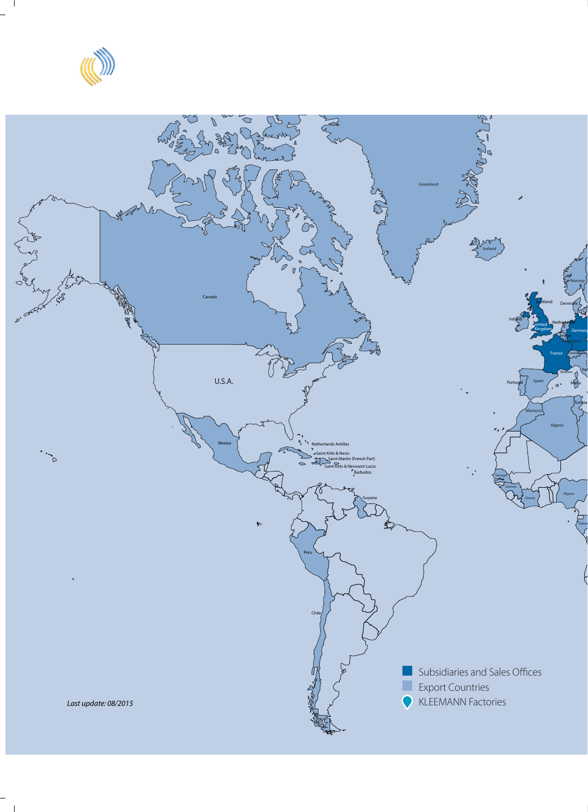![](_page_13_Picture_0.jpeg)

 $\overline{\phantom{a}}$ 

![](_page_13_Picture_1.jpeg)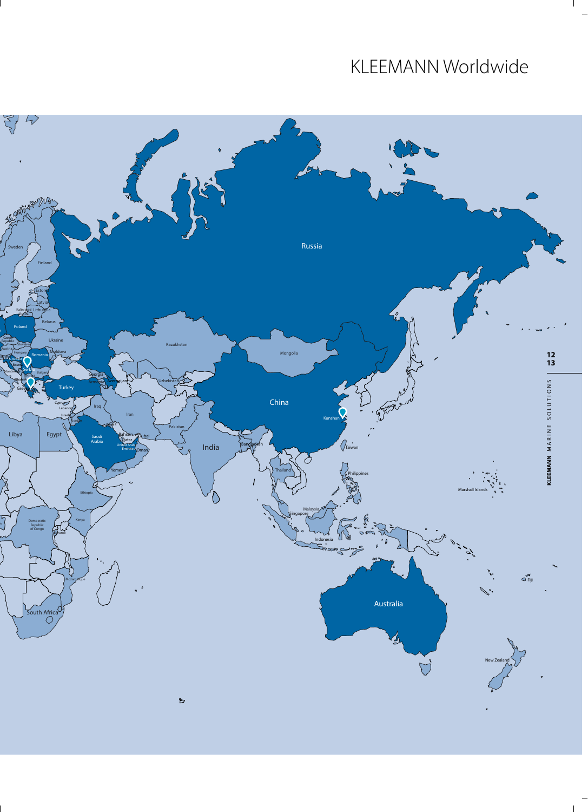## KLEEMANN Worldwide

![](_page_14_Figure_1.jpeg)